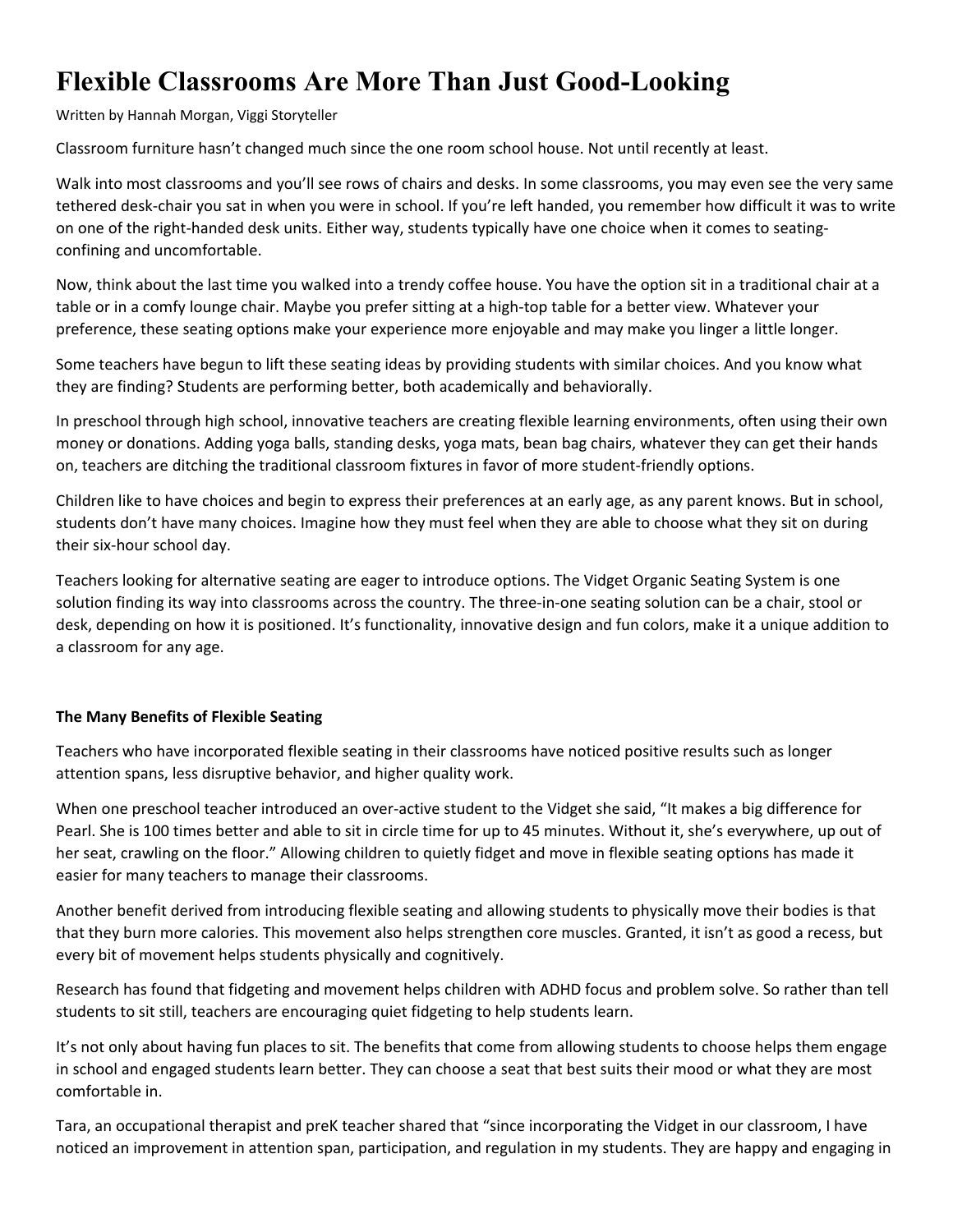# **Flexible Classrooms Are More Than Just Good-Looking**

Written by Hannah Morgan, Viggi Storyteller

Classroom furniture hasn't changed much since the one room school house. Not until recently at least.

Walk into most classrooms and you'll see rows of chairs and desks. In some classrooms, you may even see the very same tethered desk-chair you sat in when you were in school. If you're left handed, you remember how difficult it was to write on one of the right-handed desk units. Either way, students typically have one choice when it comes to seatingconfining and uncomfortable.

Now, think about the last time you walked into a trendy coffee house. You have the option sit in a traditional chair at a table or in a comfy lounge chair. Maybe you prefer sitting at a high-top table for a better view. Whatever your preference, these seating options make your experience more enjoyable and may make you linger a little longer.

Some teachers have begun to lift these seating ideas by providing students with similar choices. And you know what they are finding? Students are performing better, both academically and behaviorally.

In preschool through high school, innovative teachers are creating flexible learning environments, often using their own money or donations. Adding yoga balls, standing desks, yoga mats, bean bag chairs, whatever they can get their hands on, teachers are ditching the traditional classroom fixtures in favor of more student-friendly options.

Children like to have choices and begin to express their preferences at an early age, as any parent knows. But in school, students don't have many choices. Imagine how they must feel when they are able to choose what they sit on during their six-hour school day.

Teachers looking for alternative seating are eager to introduce options. The Vidget Organic Seating System is one solution finding its way into classrooms across the country. The three-in-one seating solution can be a chair, stool or desk, depending on how it is positioned. It's functionality, innovative design and fun colors, make it a unique addition to a classroom for any age.

# **The Many Benefits of Flexible Seating**

Teachers who have incorporated flexible seating in their classrooms have noticed positive results such as longer attention spans, less disruptive behavior, and higher quality work.

When one preschool teacher introduced an over-active student to the Vidget she said, "It makes a big difference for Pearl. She is 100 times better and able to sit in circle time for up to 45 minutes. Without it, she's everywhere, up out of her seat, crawling on the floor." Allowing children to quietly fidget and move in flexible seating options has made it easier for many teachers to manage their classrooms.

Another benefit derived from introducing flexible seating and allowing students to physically move their bodies is that that they burn more calories. This movement also helps strengthen core muscles. Granted, it isn't as good a recess, but every bit of movement helps students physically and cognitively.

Research has found that fidgeting and movement helps children with ADHD focus and problem solve. So rather than tell students to sit still, teachers are encouraging quiet fidgeting to help students learn.

It's not only about having fun places to sit. The benefits that come from allowing students to choose helps them engage in school and engaged students learn better. They can choose a seat that best suits their mood or what they are most comfortable in.

Tara, an occupational therapist and preK teacher shared that "since incorporating the Vidget in our classroom, I have noticed an improvement in attention span, participation, and regulation in my students. They are happy and engaging in